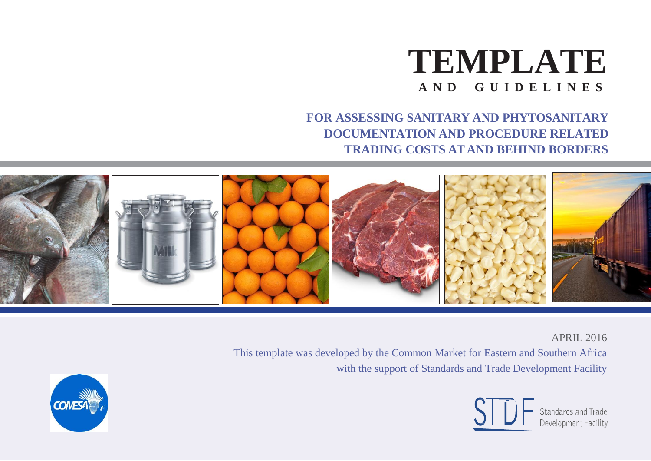

**FOR ASSESSING SANITARY AND PHYTOSANITARY DOCUMENTATION AND PROCEDURE RELATED TRADING COSTS AT AND BEHIND BORDERS**



APRIL 2016

This template was developed by the Common Market for Eastern and Southern Africa with the support of Standards and Trade Development Facility



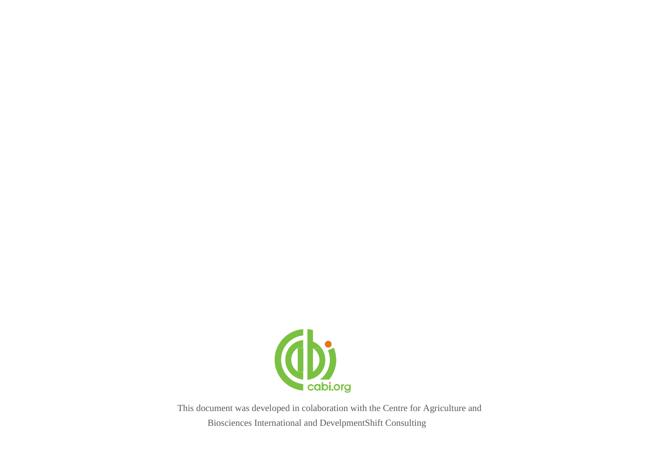

This document was developed in colaboration with the Centre for Agriculture and Biosciences International and DevelpmentShift Consulting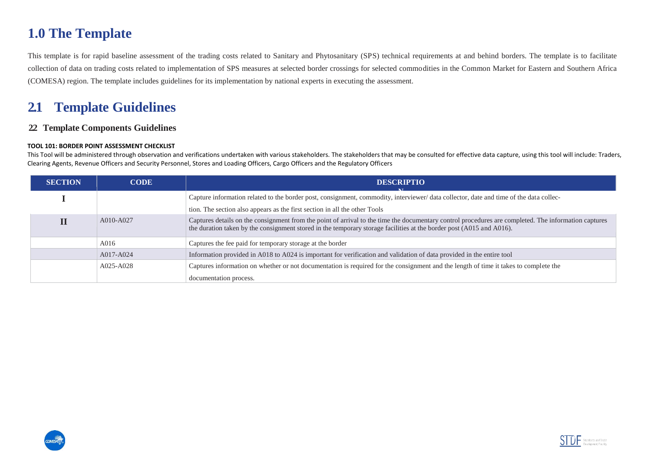# **1.0 The Template**

This template is for rapid baseline assessment of the trading costs related to Sanitary and Phytosanitary (SPS) technical requirements at and behind borders. The template is to facilitate collection of data on trading costs related to implementation of SPS measures at selected border crossings for selected commodities in the Common Market for Eastern and Southern Africa (COMESA) region. The template includes guidelines for its implementation by national experts in executing the assessment.

# **2.1 Template Guidelines**

# **2.2 Template Components Guidelines**

#### **TOOL 101: BORDER POINT ASSESSMENT CHECKLIST**

This Tool will be administered through observation and verifications undertaken with various stakeholders. The stakeholders that may be consulted for effective data capture, using this tool will include: Traders, Clearing Agents, Revenue Officers and Security Personnel, Stores and Loading Officers, Cargo Officers and the Regulatory Officers

| <b>SECTION</b> | <b>CODE</b> | <b>DESCRIPTIO</b><br>$\overline{1}$                                                                                                                                                                                                                                          |  |
|----------------|-------------|------------------------------------------------------------------------------------------------------------------------------------------------------------------------------------------------------------------------------------------------------------------------------|--|
|                |             | Capture information related to the border post, consignment, commodity, interviewer/data collector, date and time of the data collec-                                                                                                                                        |  |
|                |             | tion. The section also appears as the first section in all the other Tools                                                                                                                                                                                                   |  |
|                | A010-A027   | Captures details on the consignment from the point of arrival to the time the documentary control procedures are completed. The information captures<br>the duration taken by the consignment stored in the temporary storage facilities at the border post (A015 and A016). |  |
|                | A016        | Captures the fee paid for temporary storage at the border                                                                                                                                                                                                                    |  |
|                | A017-A024   | Information provided in A018 to A024 is important for verification and validation of data provided in the entire tool                                                                                                                                                        |  |
|                | A025-A028   | Captures information on whether or not documentation is required for the consignment and the length of time it takes to complete the                                                                                                                                         |  |
|                |             | documentation process.                                                                                                                                                                                                                                                       |  |



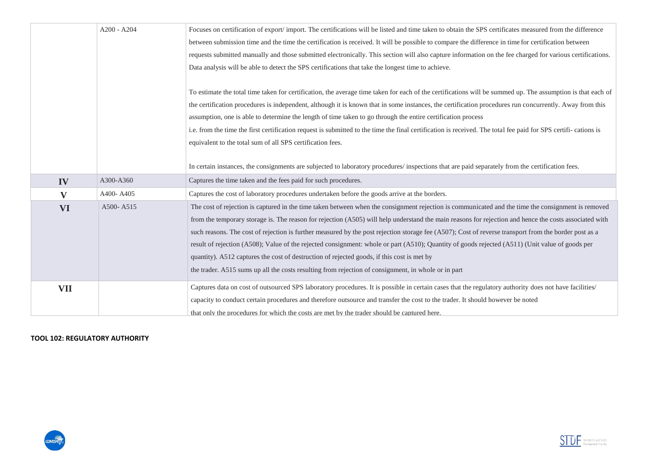|              | $A200 - A204$ | Focuses on certification of export/import. The certifications will be listed and time taken to obtain the SPS certificates measured from the difference         |  |
|--------------|---------------|-----------------------------------------------------------------------------------------------------------------------------------------------------------------|--|
|              |               | between submission time and the time the certification is received. It will be possible to compare the difference in time for certification between             |  |
|              |               | requests submitted manually and those submitted electronically. This section will also capture information on the fee charged for various certifications.       |  |
|              |               | Data analysis will be able to detect the SPS certifications that take the longest time to achieve.                                                              |  |
|              |               |                                                                                                                                                                 |  |
|              |               | To estimate the total time taken for certification, the average time taken for each of the certifications will be summed up. The assumption is that each of     |  |
|              |               | the certification procedures is independent, although it is known that in some instances, the certification procedures run concurrently. Away from this         |  |
|              |               | assumption, one is able to determine the length of time taken to go through the entire certification process                                                    |  |
|              |               | i.e. from the time the first certification request is submitted to the time the final certification is received. The total fee paid for SPS certifi- cations is |  |
|              |               | equivalent to the total sum of all SPS certification fees.                                                                                                      |  |
|              |               |                                                                                                                                                                 |  |
|              |               | In certain instances, the consignments are subjected to laboratory procedures/ inspections that are paid separately from the certification fees.                |  |
| IV           | A300-A360     | Captures the time taken and the fees paid for such procedures.                                                                                                  |  |
|              |               | Captures the cost of laboratory procedures undertaken before the goods arrive at the borders.                                                                   |  |
| $\mathbf{V}$ | A400-A405     |                                                                                                                                                                 |  |
| <b>VI</b>    | A500-A515     | The cost of rejection is captured in the time taken between when the consignment rejection is communicated and the time the consignment is removed              |  |
|              |               | from the temporary storage is. The reason for rejection (A505) will help understand the main reasons for rejection and hence the costs associated with          |  |
|              |               | such reasons. The cost of rejection is further measured by the post rejection storage fee (A507); Cost of reverse transport from the border post as a           |  |
|              |               | result of rejection (A508); Value of the rejected consignment: whole or part (A510); Quantity of goods rejected (A511) (Unit value of goods per                 |  |
|              |               | quantity). A512 captures the cost of destruction of rejected goods, if this cost is met by                                                                      |  |
|              |               | the trader. A515 sums up all the costs resulting from rejection of consignment, in whole or in part                                                             |  |
| VII          |               | Captures data on cost of outsourced SPS laboratory procedures. It is possible in certain cases that the regulatory authority does not have facilities/          |  |
|              |               | capacity to conduct certain procedures and therefore outsource and transfer the cost to the trader. It should however be noted                                  |  |

**TOOL 102: REGULATORY AUTHORITY**



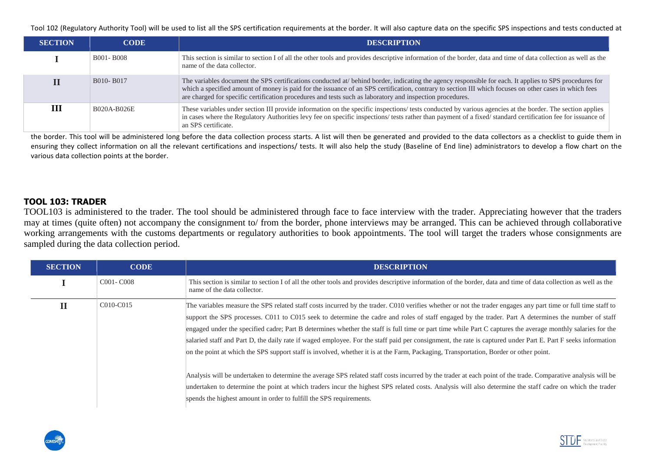Tool 102 (Regulatory Authority Tool) will be used to list all the SPS certification requirements at the border. It will also capture data on the specific SPS inspections and tests conducted at

| <b>SECTION</b> | <b>CODE</b> | <b>DESCRIPTION</b>                                                                                                                                                                                                                                                                                                                                                                                                             |
|----------------|-------------|--------------------------------------------------------------------------------------------------------------------------------------------------------------------------------------------------------------------------------------------------------------------------------------------------------------------------------------------------------------------------------------------------------------------------------|
|                | B001-B008   | This section is similar to section I of all the other tools and provides descriptive information of the border, data and time of data collection as well as the<br>name of the data collector.                                                                                                                                                                                                                                 |
|                | B010-B017   | The variables document the SPS certifications conducted at/ behind border, indicating the agency responsible for each. It applies to SPS procedures for<br>which a specified amount of money is paid for the issuance of an SPS certification, contrary to section III which focuses on other cases in which fees<br>are charged for specific certification procedures and tests such as laboratory and inspection procedures. |
| Ш              | B020A-B026E | These variables under section III provide information on the specific inspections/ tests conducted by various agencies at the border. The section applies<br>in cases where the Regulatory Authorities levy fee on specific inspections/ tests rather than payment of a fixed/ standard certification fee for issuance of<br>an SPS certificate.                                                                               |

the border. This tool will be administered long before the data collection process starts. A list will then be generated and provided to the data collectors as a checklist to guide them in ensuring they collect information on all the relevant certifications and inspections/ tests. It will also help the study (Baseline of End line) administrators to develop a flow chart on the various data collection points at the border.

### **TOOL 103: TRADER**

TOOL103 is administered to the trader. The tool should be administered through face to face interview with the trader. Appreciating however that the traders may at times (quite often) not accompany the consignment to/ from the border, phone interviews may be arranged. This can be achieved through collaborative working arrangements with the customs departments or regulatory authorities to book appointments. The tool will target the traders whose consignments are sampled during the data collection period.

| <b>SECTION</b> | <b>CODE</b>                         | <b>DESCRIPTION</b>                                                                                                                                                                                                                                                                                                                                                                                                                                                                                                                                                                                                                                                                                                                                                                           |
|----------------|-------------------------------------|----------------------------------------------------------------------------------------------------------------------------------------------------------------------------------------------------------------------------------------------------------------------------------------------------------------------------------------------------------------------------------------------------------------------------------------------------------------------------------------------------------------------------------------------------------------------------------------------------------------------------------------------------------------------------------------------------------------------------------------------------------------------------------------------|
|                | C <sub>001</sub> - C <sub>008</sub> | This section is similar to section I of all the other tools and provides descriptive information of the border, data and time of data collection as well as the<br>name of the data collector.                                                                                                                                                                                                                                                                                                                                                                                                                                                                                                                                                                                               |
| п              | C010-C015                           | The variables measure the SPS related staff costs incurred by the trader. C010 verifies whether or not the trader engages any part time or full time staff to<br>support the SPS processes. C011 to C015 seek to determine the cadre and roles of staff engaged by the trader. Part A determines the number of staff<br>engaged under the specified cadre; Part B determines whether the staff is full time or part time while Part C captures the average monthly salaries for the<br>salaried staff and Part D, the daily rate if waged employee. For the staff paid per consignment, the rate is captured under Part E. Part F seeks information<br>on the point at which the SPS support staff is involved, whether it is at the Farm, Packaging, Transportation, Border or other point. |
|                |                                     | Analysis will be undertaken to determine the average SPS related staff costs incurred by the trader at each point of the trade. Comparative analysis will be<br>undertaken to determine the point at which traders incur the highest SPS related costs. Analysis will also determine the staff cadre on which the trader<br>spends the highest amount in order to fulfill the SPS requirements.                                                                                                                                                                                                                                                                                                                                                                                              |



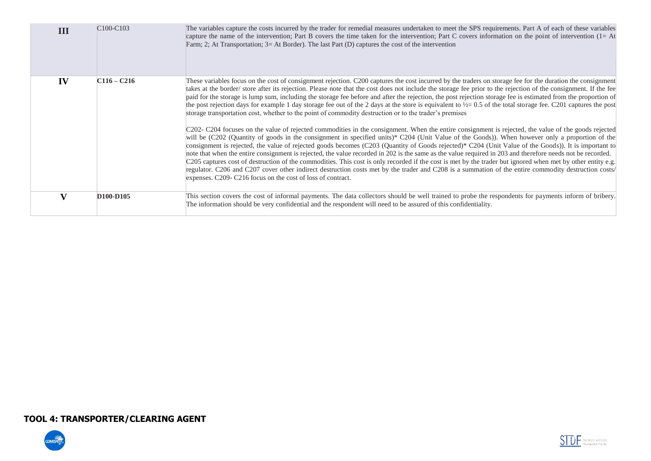| Ш  | C <sub>100</sub> -C <sub>103</sub> | The variables capture the costs incurred by the trader for remedial measures undertaken to meet the SPS requirements. Part A of each of these variables<br>capture the name of the intervention; Part B covers the time taken for the intervention; Part C covers information on the point of intervention $(1 = At)$<br>Farm; 2; At Transportation; 3= At Border). The last Part $(D)$ captures the cost of the intervention                                                                                                                                                                                                                                                                                                                                                                                                                                                                                                                                                                                       |
|----|------------------------------------|---------------------------------------------------------------------------------------------------------------------------------------------------------------------------------------------------------------------------------------------------------------------------------------------------------------------------------------------------------------------------------------------------------------------------------------------------------------------------------------------------------------------------------------------------------------------------------------------------------------------------------------------------------------------------------------------------------------------------------------------------------------------------------------------------------------------------------------------------------------------------------------------------------------------------------------------------------------------------------------------------------------------|
| IV | $C116 - C216$                      | These variables focus on the cost of consignment rejection. C200 captures the cost incurred by the traders on storage fee for the duration the consignment<br>takes at the border/store after its rejection. Please note that the cost does not include the storage fee prior to the rejection of the consignment. If the fee<br>paid for the storage is lump sum, including the storage fee before and after the rejection, the post rejection storage fee is estimated from the proportion of<br>the post rejection days for example 1 day storage fee out of the 2 days at the store is equivalent to $\frac{1}{2} = 0.5$ of the total storage fee. C201 captures the post<br>storage transportation cost, whether to the point of commodity destruction or to the trader's premises                                                                                                                                                                                                                             |
|    |                                    | C202- C204 focuses on the value of rejected commodities in the consignment. When the entire consignment is rejected, the value of the goods rejected<br>will be (C202 (Quantity of goods in the consignment in specified units)* C204 (Unit Value of the Goods)). When however only a proportion of the<br>consignment is rejected, the value of rejected goods becomes (C203 (Quantity of Goods rejected)* C204 (Unit Value of the Goods)). It is important to<br>note that when the entire consignment is rejected, the value recorded in 202 is the same as the value required in 203 and therefore needs not be recorded.<br>C205 captures cost of destruction of the commodities. This cost is only recorded if the cost is met by the trader but ignored when met by other entity e.g.<br>regulator. C206 and C207 cover other indirect destruction costs met by the trader and C208 is a summation of the entire commodity destruction costs/<br>expenses. C209- C216 focus on the cost of loss of contract. |
|    | D <sub>100</sub> -D <sub>105</sub> | This section covers the cost of informal payments. The data collectors should be well trained to probe the respondents for payments inform of bribery.<br>The information should be very confidential and the respondent will need to be assured of this confidentiality.                                                                                                                                                                                                                                                                                                                                                                                                                                                                                                                                                                                                                                                                                                                                           |

# **TOOL 4: TRANSPORTER/CLEARING AGENT**



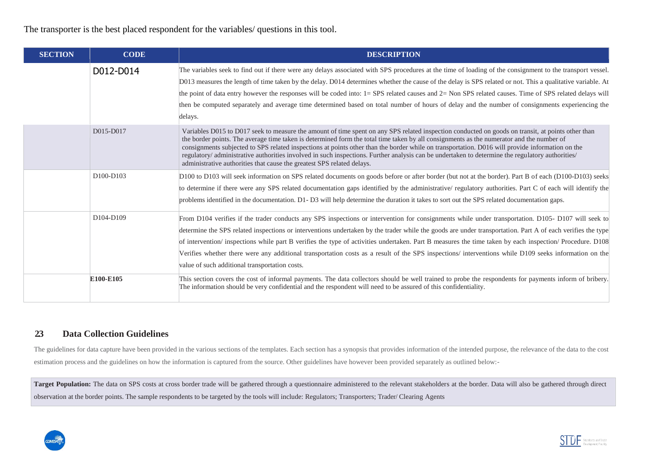The transporter is the best placed respondent for the variables/ questions in this tool.

| <b>SECTION</b> | <b>CODE</b>                        | <b>DESCRIPTION</b>                                                                                                                                                                                                                                                                                                                                                                                                                                                                                                                                                                                                                                                                      |
|----------------|------------------------------------|-----------------------------------------------------------------------------------------------------------------------------------------------------------------------------------------------------------------------------------------------------------------------------------------------------------------------------------------------------------------------------------------------------------------------------------------------------------------------------------------------------------------------------------------------------------------------------------------------------------------------------------------------------------------------------------------|
|                | D012-D014                          | The variables seek to find out if there were any delays associated with SPS procedures at the time of loading of the consignment to the transport vessel.<br>D013 measures the length of time taken by the delay. D014 determines whether the cause of the delay is SPS related or not. This a qualitative variable. At<br>the point of data entry however the responses will be coded into: 1= SPS related causes and 2= Non SPS related causes. Time of SPS related delays will<br>then be computed separately and average time determined based on total number of hours of delay and the number of consignments experiencing the<br>delays.                                         |
|                | D015-D017                          | Variables D015 to D017 seek to measure the amount of time spent on any SPS related inspection conducted on goods on transit, at points other than<br>the border points. The average time taken is determined form the total time taken by all consignments as the numerator and the number of<br>consignments subjected to SPS related inspections at points other than the border while on transportation. D016 will provide information on the<br>regulatory/ administrative authorities involved in such inspections. Further analysis can be undertaken to determine the regulatory authorities/<br>administrative authorities that cause the greatest SPS related delays.          |
|                | D <sub>100</sub> -D <sub>103</sub> | D100 to D103 will seek information on SPS related documents on goods before or after border (but not at the border). Part B of each (D100-D103) seeks<br>to determine if there were any SPS related documentation gaps identified by the administrative/ regulatory authorities. Part C of each will identify the<br>problems identified in the documentation. D1-D3 will help determine the duration it takes to sort out the SPS related documentation gaps.                                                                                                                                                                                                                          |
|                | D104-D109                          | From D104 verifies if the trader conducts any SPS inspections or intervention for consignments while under transportation. D105- D107 will seek to<br>determine the SPS related inspections or interventions undertaken by the trader while the goods are under transportation. Part A of each verifies the type<br>of intervention/ inspections while part B verifies the type of activities undertaken. Part B measures the time taken by each inspection/ Procedure. D108<br>Verifies whether there were any additional transportation costs as a result of the SPS inspections/ interventions while D109 seeks information on the<br>value of such additional transportation costs. |
|                | E100-E105                          | This section covers the cost of informal payments. The data collectors should be well trained to probe the respondents for payments inform of bribery.<br>The information should be very confidential and the respondent will need to be assured of this confidentiality.                                                                                                                                                                                                                                                                                                                                                                                                               |

## **2.3 Data Collection Guidelines**

The guidelines for data capture have been provided in the various sections of the templates. Each section has a synopsis that provides information of the intended purpose, the relevance of the data to the cost estimation process and the guidelines on how the information is captured from the source. Other guidelines have however been provided separately as outlined below:-

Target Population: The data on SPS costs at cross border trade will be gathered through a questionnaire administered to the relevant stakeholders at the border. Data will also be gathered through direct observation at the border points. The sample respondents to be targeted by the tools will include: Regulators; Transporters; Trader/ Clearing Agents



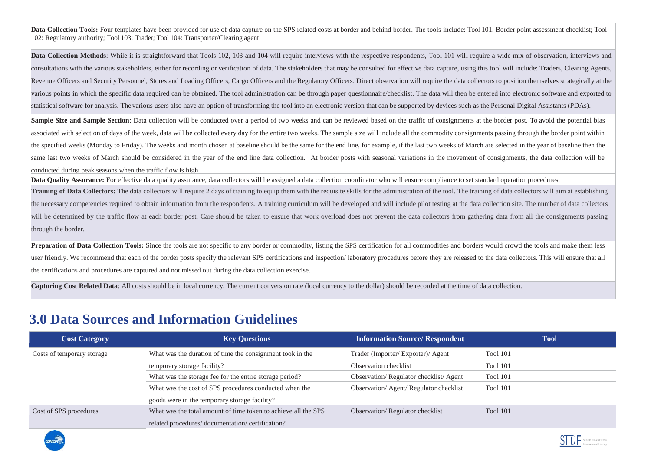**Data Collection Tools:** Four templates have been provided for use of data capture on the SPS related costs at border and behind border. The tools include: Tool 101: Border point assessment checklist: Tool 102: Regulatory authority; Tool 103: Trader; Tool 104: Transporter/Clearing agent

**Data Collection Methods**: While it is straightforward that Tools 102, 103 and 104 will require interviews with the respective respondents, Tool 101 will require a wide mix of observation, interviews and consultations with the various stakeholders, either for recording or verification of data. The stakeholders that may be consulted for effective data capture, using this tool will include: Traders, Clearing Agents, Revenue Officers and Security Personnel, Stores and Loading Officers, Cargo Officers and the Regulatory Officers. Direct observation will require the data collectors to position themselves strategically at the various points in which the specific data required can be obtained. The tool administration can be through paper questionnaire/checklist. The data will then be entered into electronic software and exported to statistical software for analysis. The various users also have an option of transforming the tool into an electronic version that can be supported by devices such as the Personal Digital Assistants (PDAs).

**Sample Size and Sample Section**: Data collection will be conducted over a period of two weeks and can be reviewed based on the traffic of consignments at the border post. To avoid the potential bias associated with selection of days of the week, data will be collected every day for the entire two weeks. The sample size will include all the commodity consignments passing through the border point within the specified weeks (Monday to Friday). The weeks and month chosen at baseline should be the same for the end line, for example, if the last two weeks of March are selected in the year of baseline then the same last two weeks of March should be considered in the year of the end line data collection. At border posts with seasonal variations in the movement of consignments, the data collection will be conducted during peak seasons when the traffic flow is high.

Data Quality Assurance: For effective data quality assurance, data collectors will be assigned a data collection coordinator who will ensure compliance to set standard operation procedures.

**Training of Data Collectors:** The data collectors will require 2 days of training to equip them with the requisite skills for the administration of the tool. The training of data collectors will aim at establishing the necessary competencies required to obtain information from the respondents. A training curriculum will be developed and will include pilot testing at the data collection site. The number of data collectors will be determined by the traffic flow at each border post. Care should be taken to ensure that work overload does not prevent the data collectors from gathering data from all the consignments passing through the border.

**Preparation of Data Collection Tools:** Since the tools are not specific to any border or commodity, listing the SPS certification for all commodities and borders would crowd the tools and make them less user friendly. We recommend that each of the border posts specify the relevant SPS certifications and inspection/ laboratory procedures before they are released to the data collectors. This will ensure that all the certifications and procedures are captured and not missed out during the data collection exercise.

**Capturing Cost Related Data**: All costs should be in local currency. The current conversion rate (local currency to the dollar) should be recorded at the time of data collection.

# **3.0 Data Sources and Information Guidelines**

| <b>Cost Category</b>       | <b>Key Questions</b>                                           | <b>Information Source/Respondent</b>  | <b>Tool</b>     |
|----------------------------|----------------------------------------------------------------|---------------------------------------|-----------------|
| Costs of temporary storage | What was the duration of time the consignment took in the      | Trader (Importer/Exporter)/Agent      | <b>Tool 101</b> |
|                            | temporary storage facility?                                    | Observation checklist                 | <b>Tool 101</b> |
|                            | What was the storage fee for the entire storage period?        | Observation/Regulator checklist/Agent | Tool 101        |
|                            | What was the cost of SPS procedures conducted when the         | Observation/Agent/Regulator checklist | <b>Tool 101</b> |
|                            | goods were in the temporary storage facility?                  |                                       |                 |
| Cost of SPS procedures     | What was the total amount of time token to achieve all the SPS | Observation/Regulator checklist       | Tool 101        |
|                            | related procedures/documentation/certification?                |                                       |                 |



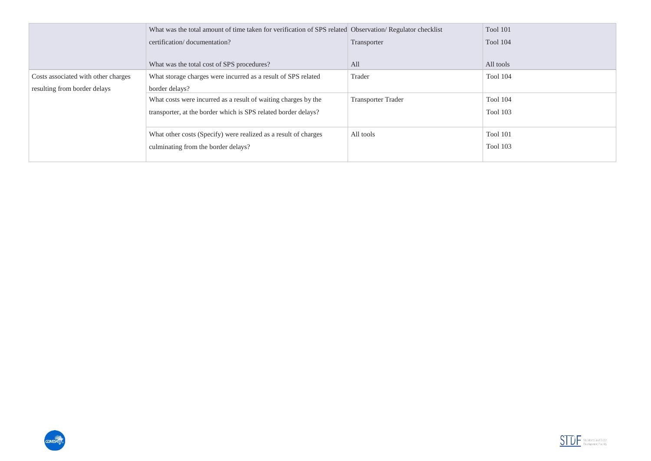|                                     | What was the total amount of time taken for verification of SPS related Observation/Regulator checklist |                           | Tool 101        |
|-------------------------------------|---------------------------------------------------------------------------------------------------------|---------------------------|-----------------|
|                                     | certification/documentation?                                                                            | Transporter               | Tool 104        |
|                                     | What was the total cost of SPS procedures?                                                              | All                       | All tools       |
| Costs associated with other charges | What storage charges were incurred as a result of SPS related                                           | Trader                    | <b>Tool 104</b> |
| resulting from border delays        | border delays?                                                                                          |                           |                 |
|                                     | What costs were incurred as a result of waiting charges by the                                          | <b>Transporter Trader</b> | <b>Tool 104</b> |
|                                     | transporter, at the border which is SPS related border delays?                                          |                           | <b>Tool 103</b> |
|                                     |                                                                                                         |                           |                 |
|                                     | What other costs (Specify) were realized as a result of charges                                         | All tools                 | Tool 101        |
|                                     | culminating from the border delays?                                                                     |                           | <b>Tool 103</b> |
|                                     |                                                                                                         |                           |                 |



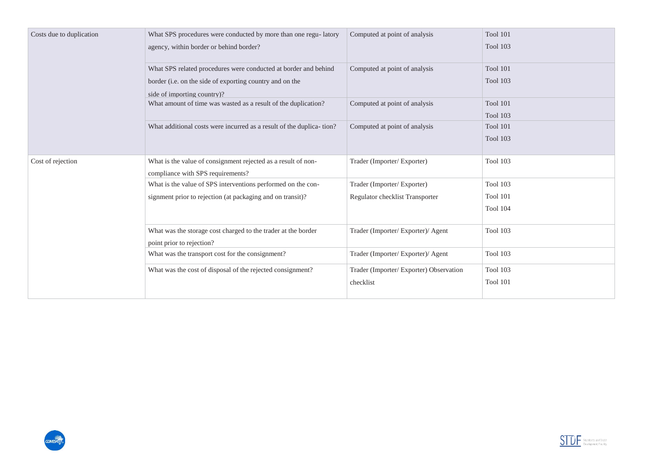| Costs due to duplication | What SPS procedures were conducted by more than one regu-latory                            | Computed at point of analysis          | <b>Tool 101</b> |
|--------------------------|--------------------------------------------------------------------------------------------|----------------------------------------|-----------------|
|                          | agency, within border or behind border?                                                    |                                        | <b>Tool 103</b> |
|                          | What SPS related procedures were conducted at border and behind                            | Computed at point of analysis          | Tool 101        |
|                          | border (i.e. on the side of exporting country and on the                                   |                                        | <b>Tool 103</b> |
|                          | side of importing country)?                                                                |                                        |                 |
|                          | What amount of time was wasted as a result of the duplication?                             | Computed at point of analysis          | Tool 101        |
|                          |                                                                                            |                                        | <b>Tool 103</b> |
|                          | What additional costs were incurred as a result of the duplica-tion?                       | Computed at point of analysis          | <b>Tool 101</b> |
|                          |                                                                                            |                                        | <b>Tool 103</b> |
| Cost of rejection        | What is the value of consignment rejected as a result of non-                              | Trader (Importer/Exporter)             | <b>Tool 103</b> |
|                          | compliance with SPS requirements?                                                          |                                        |                 |
|                          | What is the value of SPS interventions performed on the con-                               | Trader (Importer/Exporter)             | <b>Tool 103</b> |
|                          | signment prior to rejection (at packaging and on transit)?                                 | Regulator checklist Transporter        | <b>Tool 101</b> |
|                          |                                                                                            |                                        | Tool 104        |
|                          | What was the storage cost charged to the trader at the border<br>point prior to rejection? | Trader (Importer/Exporter)/ Agent      | <b>Tool 103</b> |
|                          | What was the transport cost for the consignment?                                           | Trader (Importer/Exporter)/ Agent      | <b>Tool 103</b> |
|                          | What was the cost of disposal of the rejected consignment?                                 | Trader (Importer/Exporter) Observation | <b>Tool 103</b> |
|                          |                                                                                            | checklist                              | <b>Tool 101</b> |
|                          |                                                                                            |                                        |                 |



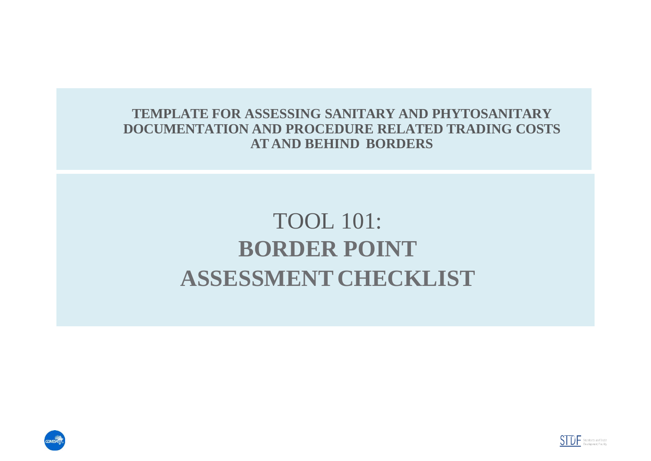**TEMPLATE FOR ASSESSING SANITARY AND PHYTOSANITARY DOCUMENTATION AND PROCEDURE RELATED TRADING COSTS AT AND BEHIND BORDERS**

# TOOL 101: **BORDER POINT ASSESSMENT CHECKLIST**



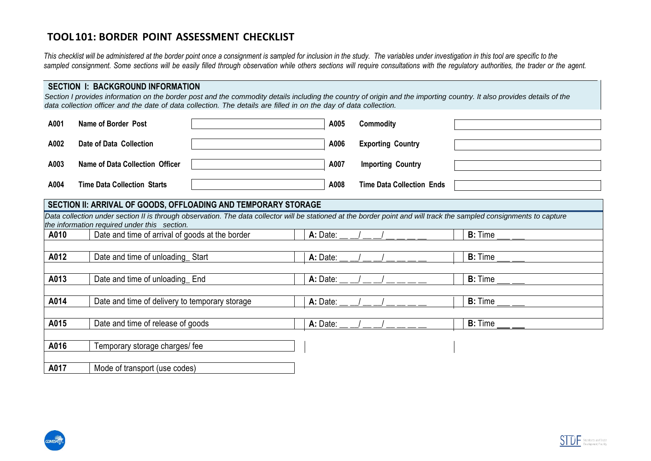# **TOOL101: BORDER POINT ASSESSMENT CHECKLIST**

*This checklist will be administered at the border point once a consignment is sampled for inclusion in the study. The variables under investigation in this tool are specific to the*  sampled consignment. Some sections will be easily filled through observation while others sections will require consultations with the requlatory authorities, the trader or the agent.

### **SECTION I: BACKGROUND INFORMATION**

*Section I provides information on the border post and the commodity details including the country of origin and the importing country. It also provides details of the*  data collection officer and the date of data collection. The details are filled in on the day of data collection.

| A001 | Name of Border Post                | A005 | Commodity                        |  |
|------|------------------------------------|------|----------------------------------|--|
| A002 | Date of Data Collection            | A006 | <b>Exporting Country</b>         |  |
| A003 | Name of Data Collection Officer    | A007 | <b>Importing Country</b>         |  |
| A004 | <b>Time Data Collection Starts</b> | A008 | <b>Time Data Collection Ends</b> |  |

### **SECTION II: ARRIVAL OF GOODS, OFFLOADING AND TEMPORARY STORAGE**

|           | Data collection under section II is through observation. The data collector will be stationed at the border point and will track the sampled consignments to capture |                                                    |                         |  |
|-----------|----------------------------------------------------------------------------------------------------------------------------------------------------------------------|----------------------------------------------------|-------------------------|--|
|           | the information required under this section.                                                                                                                         |                                                    |                         |  |
| A010      | Date and time of arrival of goods at the border                                                                                                                      | A: Date:                                           | <b>B:</b> Time $\_\_$   |  |
|           |                                                                                                                                                                      |                                                    |                         |  |
| A012      | Date and time of unloading Start                                                                                                                                     | A: Date:                                           | $B:$ Time $\_\_$        |  |
|           |                                                                                                                                                                      |                                                    |                         |  |
| A013      | Date and time of unloading End                                                                                                                                       | A: Date:                                           | <b>B:</b> Time          |  |
|           |                                                                                                                                                                      |                                                    |                         |  |
| A014      | Date and time of delivery to temporary storage                                                                                                                       | A: Date:                                           | <b>B:</b> Time          |  |
|           |                                                                                                                                                                      |                                                    |                         |  |
| A015      | Date and time of release of goods                                                                                                                                    | A: Date: $\rule{1em}{0.15mm}$ $\rule{1em}{0.15mm}$ | B: Time $\_\_\_\_\_\_\$ |  |
|           |                                                                                                                                                                      |                                                    |                         |  |
| A016      | Temporary storage charges/fee                                                                                                                                        |                                                    |                         |  |
|           |                                                                                                                                                                      |                                                    |                         |  |
| - - - - - |                                                                                                                                                                      |                                                    |                         |  |

**A017** Mode of transport (use codes)



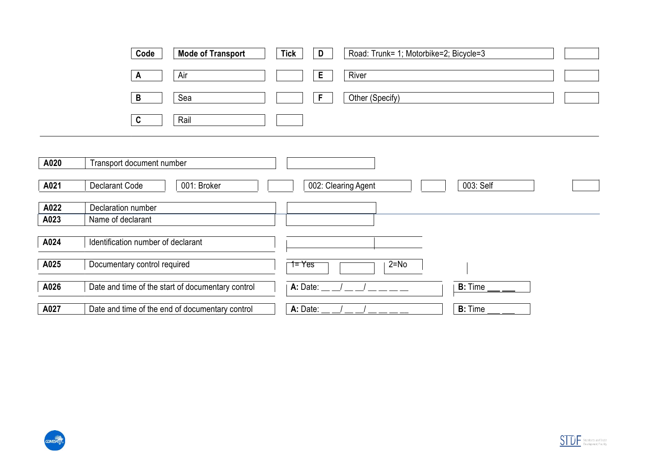|      | Code<br><b>Mode of Transport</b>                  | <b>Tick</b><br>D<br>Road: Trunk= 1; Motorbike=2; Bicycle=3 |
|------|---------------------------------------------------|------------------------------------------------------------|
|      | Air<br>$\mathsf{A}$<br>B<br>Sea                   | E.<br>River<br>Other (Specify)<br>F                        |
|      | Rail<br>C                                         |                                                            |
|      |                                                   |                                                            |
| A020 | Transport document number                         |                                                            |
| A021 | <b>Declarant Code</b><br>001: Broker              | 003: Self<br>002: Clearing Agent                           |
| A022 | Declaration number                                |                                                            |
| A023 | Name of declarant                                 |                                                            |
| A024 | Identification number of declarant                |                                                            |
| A025 | Documentary control required                      | $1 = Yes$<br>$2 = No$                                      |
| A026 | Date and time of the start of documentary control | A: Date:<br>$B:$ Time $\_$                                 |
| A027 | Date and time of the end of documentary control   | A: Date:<br><b>B:</b> Time                                 |



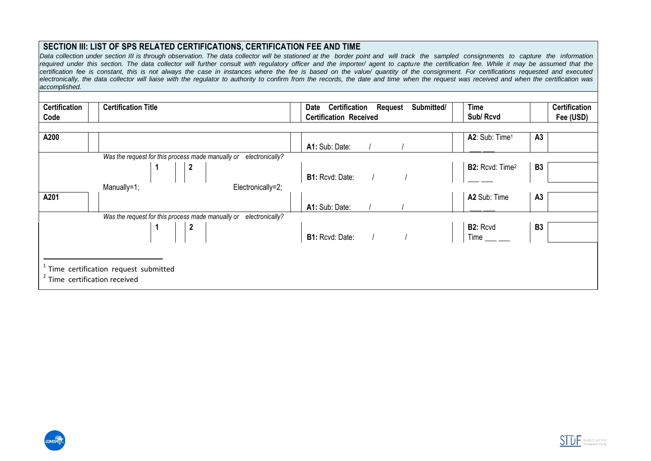### **SECTION III: LIST OF SPS RELATED CERTIFICATIONS, CERTIFICATION FEE AND TIME**

Data collection under section III is through observation. The data collector will be stationed at the border point and will track the sampled consignments to capture the information required under this section. The data collector will further consult with regulatory officer and the importer/ agent to capture the certification fee. While it may be assumed that the certification fee is constant, this is not always the case in instances where the fee is based on the value/ quantity of the consignment. For certifications requested and executed electronically, the data collector will liaise with the regulator to authority to confirm from the records, the date and time when the request was received and when the certification was *accomplished.*

| <b>Certification</b><br>Code | <b>Certification Title</b>                                                                                     | <b>Certification</b><br>Submitted/<br><b>Request</b><br>Date<br><b>Certification Received</b> | <b>Certification</b><br><b>Time</b><br>Sub/Rcvd<br>Fee (USD) |
|------------------------------|----------------------------------------------------------------------------------------------------------------|-----------------------------------------------------------------------------------------------|--------------------------------------------------------------|
| A200                         |                                                                                                                | A1: Sub: Date:                                                                                | A2: Sub: Time <sup>1</sup><br>A3                             |
|                              | Was the request for this process made manually or<br>electronically?<br>$\overline{\mathbf{c}}$                | <b>B1:</b> Rcvd: Date: $1$                                                                    | <b>B2:</b> Rcvd: Time <sup>2</sup><br><b>B3</b>              |
| A201                         | Electronically=2;<br>Manually=1;                                                                               | A1: Sub: Date:                                                                                | A2 Sub: Time<br>A <sub>3</sub>                               |
|                              | Was the request for this process made manually or<br>electronically?<br>$\begin{array}{ c c }\n2\n\end{array}$ | <b>B1:</b> Rcvd: Date: $\frac{1}{1}$ /                                                        | <b>B2:</b> Rcvd<br>Time<br><b>B3</b>                         |
|                              | Time certification request submitted<br>Time certification received                                            |                                                                                               |                                                              |



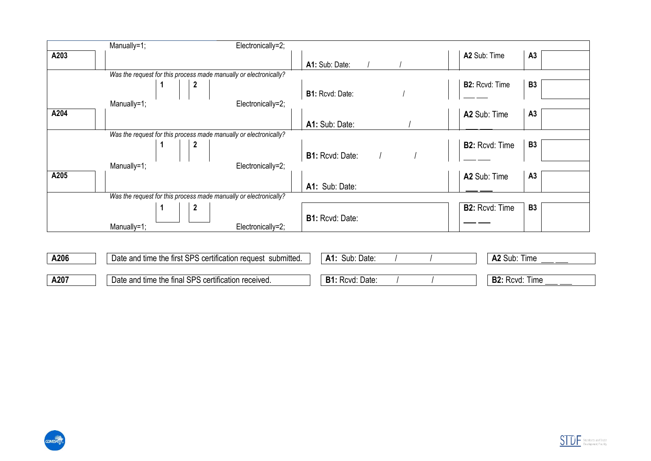|      | Manually=1; |                                                                   | Electronically=2;                                            |                        |                       |           |
|------|-------------|-------------------------------------------------------------------|--------------------------------------------------------------|------------------------|-----------------------|-----------|
| A203 |             |                                                                   |                                                              |                        | A2 Sub: Time          | A3        |
|      |             |                                                                   |                                                              | A1: Sub: Date:         |                       |           |
|      |             | Was the request for this process made manually or electronically? |                                                              |                        |                       |           |
|      |             | $\boldsymbol{2}$                                                  |                                                              |                        | <b>B2: Rcvd: Time</b> | <b>B3</b> |
|      |             |                                                                   |                                                              | <b>B1: Rcvd: Date:</b> |                       |           |
|      | Manually=1; |                                                                   | Electronically=2;                                            |                        |                       |           |
| A204 |             |                                                                   |                                                              |                        | A2 Sub: Time          | A3        |
|      |             |                                                                   |                                                              | A1: Sub: Date:         |                       |           |
|      |             | Was the request for this process made manually or electronically? |                                                              |                        |                       |           |
|      |             | $\boldsymbol{2}$                                                  |                                                              |                        | <b>B2: Rcvd: Time</b> | <b>B3</b> |
|      |             |                                                                   |                                                              | <b>B1: Rcvd: Date:</b> |                       |           |
|      | Manually=1; |                                                                   | Electronically=2;                                            |                        |                       |           |
| A205 |             |                                                                   |                                                              |                        | A2 Sub: Time          | A3        |
|      |             |                                                                   |                                                              | A1: Sub: Date:         |                       |           |
|      |             | Was the request for this process made manually or electronically? |                                                              |                        |                       |           |
|      |             | $\boldsymbol{2}$                                                  |                                                              |                        | <b>B2: Rcvd: Time</b> | <b>B3</b> |
|      |             |                                                                   |                                                              | <b>B1: Rcvd: Date:</b> |                       |           |
|      | Manually=1; |                                                                   | Electronically=2;                                            |                        |                       |           |
|      |             |                                                                   |                                                              |                        |                       |           |
|      |             |                                                                   |                                                              |                        |                       |           |
| A206 |             |                                                                   | Date and time the first SPS certification request submitted. | A1: Sub: Date:         | A2 Sub: Time          |           |

**A207** Date and time the final SPS certification received. **B1:** Rcvd: Date: / / / **B2:** Rcvd: Time



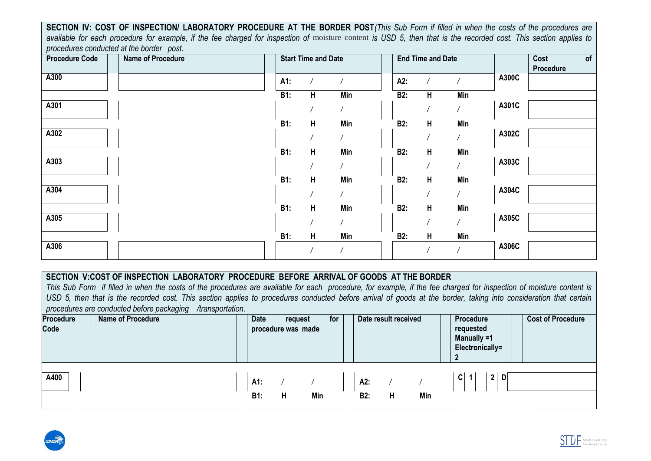available for each procedure for example, if the fee charged for inspection of moisture content is USD 5, then that is the recorded cost. This section applies to **SECTION IV: COST OF INSPECTION/ LABORATORY PROCEDURE AT THE BORDER POST***(This Sub Form if filled in when the costs of the procedures are procedures conducted at the border post.*

| <b>Procedure Code</b> | Name of Procedure |            | <b>Start Time and Date</b> |            |            | <b>End Time and Date</b> |                |       | Cost<br>of<br>Procedure |
|-----------------------|-------------------|------------|----------------------------|------------|------------|--------------------------|----------------|-------|-------------------------|
| A300                  |                   | A1:        |                            |            | A2:        |                          |                | A300C |                         |
|                       |                   | B1:        | H                          | Min        | B2:        | H                        | <b>Min</b>     |       |                         |
| A301                  |                   |            |                            | $\sqrt{2}$ |            |                          |                | A301C |                         |
|                       |                   | B1:        | H                          | Min        | <b>B2:</b> | H                        | Min            |       |                         |
| A302                  |                   |            |                            |            |            |                          |                | A302C |                         |
|                       |                   | <b>B1:</b> | H                          | Min        | <b>B2:</b> | H                        | Min            |       |                         |
| A303                  |                   |            |                            | $\sqrt{ }$ |            |                          |                | A303C |                         |
|                       |                   | B1:        | H                          | Min        | <b>B2:</b> | H                        | Min            |       |                         |
| A304                  |                   |            |                            |            |            |                          | $\overline{1}$ | A304C |                         |
|                       |                   | <b>B1:</b> | H                          | Min        | <b>B2:</b> | H                        | Min            |       |                         |
| A305                  |                   |            |                            |            |            |                          | $\sqrt{2}$     | A305C |                         |
|                       |                   | <b>B1:</b> | H                          | Min        | <b>B2:</b> | H                        | Min            |       |                         |
| A306                  |                   |            |                            |            |            |                          |                | A306C |                         |

## **SECTION V:COST OF INSPECTION LABORATORY PROCEDURE BEFORE ARRIVAL OF GOODS AT THE BORDER**

*This Sub Form if filled in when the costs of the procedures are available for each procedure, for example, if the fee charged for inspection of moisture content is*  USD 5, then that is the recorded cost. This section applies to procedures conducted before arrival of goods at the border, taking into consideration that certain *procedures are conducted before packaging /transportation.*

| Procedure<br>Code | <b>Name of Procedure</b> | <b>Date</b>       | request<br>procedure was made |     | for |                   | Date result received |     | Procedure<br>requested<br>Manually =1<br>Electronically=<br>ົາ | <b>Cost of Procedure</b> |
|-------------------|--------------------------|-------------------|-------------------------------|-----|-----|-------------------|----------------------|-----|----------------------------------------------------------------|--------------------------|
| A400              |                          | A1:<br><b>B1:</b> | H                             | Min |     | A2:<br><b>B2:</b> | н                    | Min | $\boldsymbol{2}$<br>C<br>D                                     |                          |



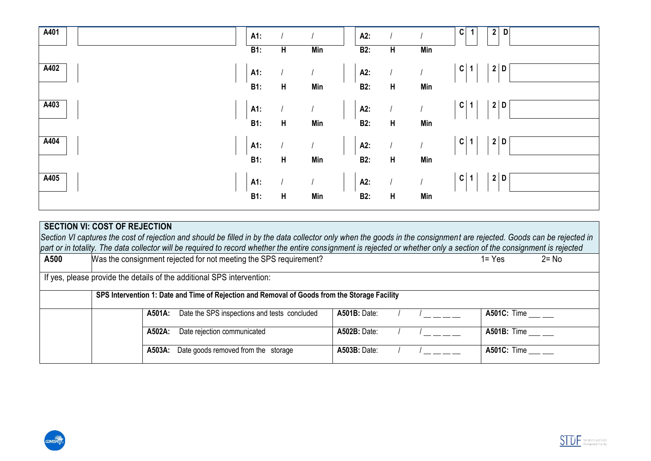| A401 |                                                                                                                                                                        | A1:               |   |            | A2:                                |                         |            | C<br>2 <br>D                      |
|------|------------------------------------------------------------------------------------------------------------------------------------------------------------------------|-------------------|---|------------|------------------------------------|-------------------------|------------|-----------------------------------|
|      |                                                                                                                                                                        | $\overline{B1}$ : | H | <b>Min</b> | B2:                                | $\overline{\mathbf{H}}$ | <b>Min</b> |                                   |
| A402 |                                                                                                                                                                        | A1:               |   |            | A2:                                |                         |            | c <br>2 D                         |
|      |                                                                                                                                                                        |                   |   |            |                                    |                         |            |                                   |
|      |                                                                                                                                                                        | <b>B1:</b>        | H | Min        | B2:                                | H                       | Min        |                                   |
| A403 |                                                                                                                                                                        | A1:               |   |            | A2:                                |                         |            | C <br>2 D                         |
|      |                                                                                                                                                                        |                   |   |            |                                    |                         |            |                                   |
|      |                                                                                                                                                                        | <b>B1:</b>        | H | Min        | <b>B2:</b>                         | H                       | Min        |                                   |
| A404 |                                                                                                                                                                        |                   |   |            |                                    |                         |            | c <br>2 D                         |
|      |                                                                                                                                                                        | A1:               |   |            | A2:                                |                         |            |                                   |
|      |                                                                                                                                                                        | B1:               | H | Min        | B2:                                | H                       | Min        |                                   |
| A405 |                                                                                                                                                                        |                   |   |            | A2:                                |                         |            | $\mathbf{C}$<br>$\mathbf{2}$<br>D |
|      |                                                                                                                                                                        | A1:               |   |            |                                    |                         |            |                                   |
|      |                                                                                                                                                                        | <b>B1:</b>        | H | Min        | <b>B2:</b>                         | H                       | Min        |                                   |
|      |                                                                                                                                                                        |                   |   |            |                                    |                         |            |                                   |
|      | <b>SECTION VI: COST OF REJECTION</b>                                                                                                                                   |                   |   |            |                                    |                         |            |                                   |
|      | Section VI captures the cost of rejection and should be filled in by the data collector only when the goods in the consignment are rejected. Goods can be rejected in  |                   |   |            |                                    |                         |            |                                   |
|      | part or in totality. The data collector will be required to record whether the entire consignment is rejected or whether only a section of the consignment is rejected |                   |   |            |                                    |                         |            |                                   |
| A500 | Was the consignment rejected for not meeting the SPS requirement?                                                                                                      |                   |   |            |                                    |                         |            | $1 = Yes$<br>$2 = No$             |
|      |                                                                                                                                                                        |                   |   |            |                                    |                         |            |                                   |
|      | If yes, please provide the details of the additional SPS intervention:                                                                                                 |                   |   |            |                                    |                         |            |                                   |
|      | SPS Intervention 1: Date and Time of Rejection and Removal of Goods from the Storage Facility                                                                          |                   |   |            |                                    |                         |            |                                   |
|      |                                                                                                                                                                        |                   |   |            |                                    |                         |            |                                   |
|      | A501A: Data the SDS inspections and tosts, concluded                                                                                                                   |                   |   |            | $A$ 504 $D \cdot D$ <sub>210</sub> |                         |            | $\Lambda$ 501 $\Omega$ . Timo     |

|  | A501A: | Date the SPS inspections and tests concluded      | <b>A501B: Date:</b> |  | <b>A501C: Time</b>                                    |
|--|--------|---------------------------------------------------|---------------------|--|-------------------------------------------------------|
|  | A502A: | Date rejection communicated                       | <b>A502B: Date:</b> |  | <b>A501B:</b> Time ___ __                             |
|  |        | <b>A503A:</b> Date goods removed from the storage | <b>A503B: Date:</b> |  | A501C: Time $\rule{1em}{0.15mm}$ $\rule{1em}{0.15mm}$ |



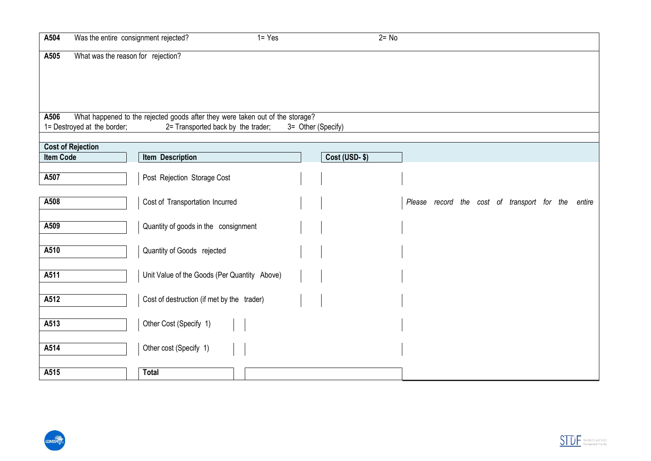| A504                        | Was the entire consignment rejected?                                          | $1 = Yes$ |                    |                      | $2 = No$ |                                             |  |        |
|-----------------------------|-------------------------------------------------------------------------------|-----------|--------------------|----------------------|----------|---------------------------------------------|--|--------|
| A505                        | What was the reason for rejection?                                            |           |                    |                      |          |                                             |  |        |
|                             |                                                                               |           |                    |                      |          |                                             |  |        |
|                             |                                                                               |           |                    |                      |          |                                             |  |        |
| A506                        | What happened to the rejected goods after they were taken out of the storage? |           |                    |                      |          |                                             |  |        |
| 1= Destroyed at the border; | 2= Transported back by the trader;                                            |           | 3= Other (Specify) |                      |          |                                             |  |        |
| <b>Cost of Rejection</b>    |                                                                               |           |                    |                      |          |                                             |  |        |
| <b>Item Code</b>            | Item Description                                                              |           |                    | <b>Cost (USD-\$)</b> |          |                                             |  |        |
| A507                        | Post Rejection Storage Cost                                                   |           |                    |                      |          |                                             |  |        |
| A508                        | Cost of Transportation Incurred                                               |           |                    |                      |          | Please record the cost of transport for the |  | entire |
| A509                        | Quantity of goods in the consignment                                          |           |                    |                      |          |                                             |  |        |
| A510                        | Quantity of Goods rejected                                                    |           |                    |                      |          |                                             |  |        |
| A511                        | Unit Value of the Goods (Per Quantity Above)                                  |           |                    |                      |          |                                             |  |        |
| A512                        | Cost of destruction (if met by the trader)                                    |           |                    |                      |          |                                             |  |        |
| A513                        | Other Cost (Specify 1)                                                        |           |                    |                      |          |                                             |  |        |
| A514                        | Other cost (Specify 1)                                                        |           |                    |                      |          |                                             |  |        |
| A515                        | <b>Total</b>                                                                  |           |                    |                      |          |                                             |  |        |



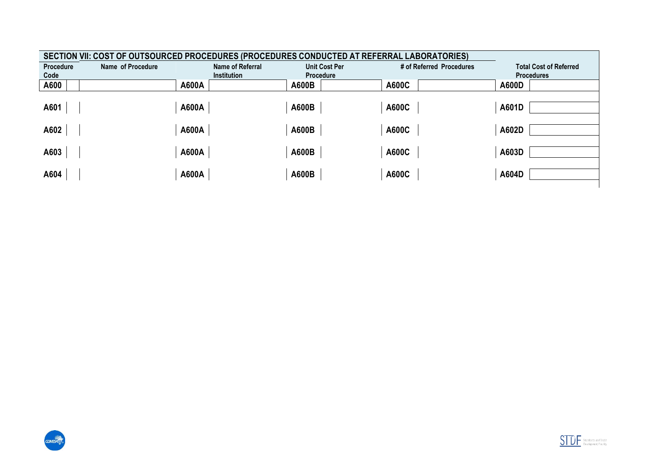|                  | SECTION VII: COST OF OUTSOURCED PROCEDURES (PROCEDURES CONDUCTED AT REFERRAL LABORATORIES) |                         |                      |                          |                               |  |  |  |  |  |  |  |
|------------------|--------------------------------------------------------------------------------------------|-------------------------|----------------------|--------------------------|-------------------------------|--|--|--|--|--|--|--|
| <b>Procedure</b> | Name of Procedure                                                                          | <b>Name of Referral</b> | <b>Unit Cost Per</b> | # of Referred Procedures | <b>Total Cost of Referred</b> |  |  |  |  |  |  |  |
| Code             |                                                                                            | <b>Institution</b>      | <b>Procedure</b>     |                          | <b>Procedures</b>             |  |  |  |  |  |  |  |
| A600             | A600A                                                                                      |                         | A600B                | A600C                    | <b>A600D</b>                  |  |  |  |  |  |  |  |
|                  |                                                                                            |                         |                      |                          |                               |  |  |  |  |  |  |  |
| A601             | A600A                                                                                      |                         | A600B                | A600C                    | A601D                         |  |  |  |  |  |  |  |
|                  |                                                                                            |                         |                      |                          |                               |  |  |  |  |  |  |  |
| A602             | A600A                                                                                      |                         | A600B                | A600C                    | A602D                         |  |  |  |  |  |  |  |
|                  |                                                                                            |                         |                      |                          |                               |  |  |  |  |  |  |  |
| A603             | A600A                                                                                      |                         | A600B                | A600C                    | A603D                         |  |  |  |  |  |  |  |
|                  |                                                                                            |                         |                      |                          |                               |  |  |  |  |  |  |  |
| A604             | A600A                                                                                      |                         | A600B                | A600C                    | A604D                         |  |  |  |  |  |  |  |
|                  |                                                                                            |                         |                      |                          |                               |  |  |  |  |  |  |  |



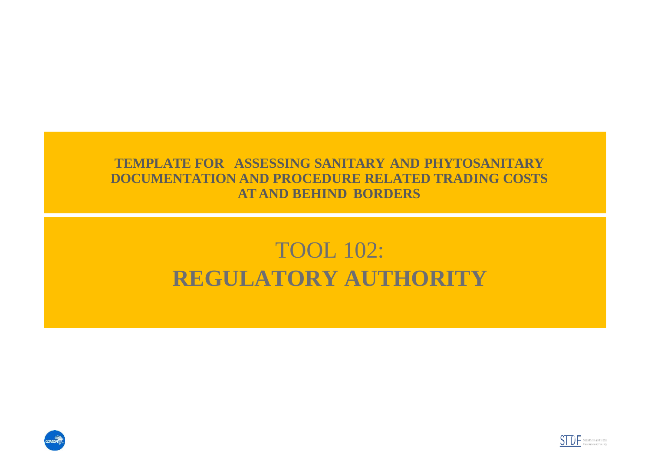# **TEMPLATE FOR ASSESSING SANITARY AND PHYTOSANITARY DOCUMENTATION AND PROCEDURE RELATED TRADING COSTS AT AND BEHIND BORDERS**

# TOOL 102: **REGULATORY AUTHORITY**



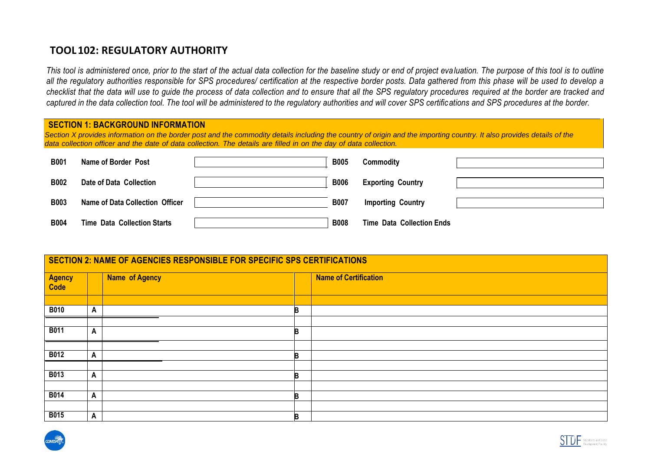# **TOOL102: REGULATORY AUTHORITY**

*This tool is administered once, prior to the start of the actual data collection for the baseline study or end of project evaluation. The purpose of this tool is to outline all the regulatory authorities responsible for SPS procedures/ certification at the respective border posts. Data gathered from this phase will be used to develop a checklist that the data will use to guide the process of data collection and to ensure that all the SPS regulatory procedures required at the border are tracked and captured in the data collection tool. The tool will be administered to the regulatory authorities and will cover SPS certifications and SPS procedures at the border.*

| <b>SECTION 1: BACKGROUND INFORMATION</b><br>Section X provides information on the border post and the commodity details including the country of origin and the importing country. It also provides details of the<br>data collection officer and the date of data collection. The details are filled in on the day of data collection. |                                    |  |             |                                  |  |  |  |  |  |  |  |
|-----------------------------------------------------------------------------------------------------------------------------------------------------------------------------------------------------------------------------------------------------------------------------------------------------------------------------------------|------------------------------------|--|-------------|----------------------------------|--|--|--|--|--|--|--|
| <b>B001</b>                                                                                                                                                                                                                                                                                                                             | Name of Border Post                |  | <b>B005</b> | Commodity                        |  |  |  |  |  |  |  |
| <b>B002</b>                                                                                                                                                                                                                                                                                                                             | Date of Data Collection            |  | <b>B006</b> | <b>Exporting Country</b>         |  |  |  |  |  |  |  |
| <b>B003</b>                                                                                                                                                                                                                                                                                                                             | Name of Data Collection Officer    |  | <b>B007</b> | <b>Importing Country</b>         |  |  |  |  |  |  |  |
| <b>B004</b>                                                                                                                                                                                                                                                                                                                             | <b>Time Data Collection Starts</b> |  | <b>B008</b> | <b>Time Data Collection Ends</b> |  |  |  |  |  |  |  |

|                       |              | SECTION 2: NAME OF AGENCIES RESPONSIBLE FOR SPECIFIC SPS CERTIFICATIONS |    |                              |
|-----------------------|--------------|-------------------------------------------------------------------------|----|------------------------------|
| <b>Agency</b><br>Code |              | Name of Agency                                                          |    | <b>Name of Certification</b> |
|                       |              |                                                                         |    |                              |
| <b>B010</b>           | $\mathsf{A}$ |                                                                         | B  |                              |
|                       |              |                                                                         |    |                              |
| <b>B011</b>           | A            |                                                                         | B  |                              |
|                       |              |                                                                         |    |                              |
| <b>B012</b>           | $\mathsf{A}$ |                                                                         | B  |                              |
|                       |              |                                                                         |    |                              |
| <b>B013</b>           | $\mathsf{A}$ |                                                                         | B  |                              |
|                       |              |                                                                         |    |                              |
| <b>B014</b>           | $\mathsf{A}$ |                                                                         | B. |                              |
|                       |              |                                                                         |    |                              |
| <b>B015</b>           | $\mathsf{A}$ |                                                                         | B  |                              |



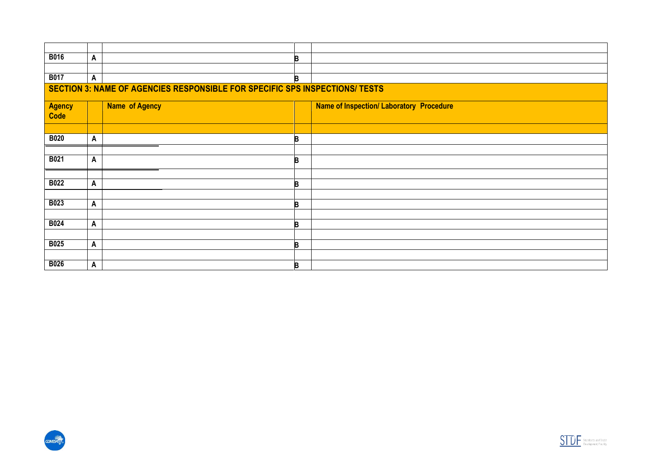| <b>B016</b>                                                                 | A |                       | B |                                                 |  |  |  |  |  |  |  |
|-----------------------------------------------------------------------------|---|-----------------------|---|-------------------------------------------------|--|--|--|--|--|--|--|
|                                                                             |   |                       |   |                                                 |  |  |  |  |  |  |  |
| <b>B017</b>                                                                 | A |                       | B |                                                 |  |  |  |  |  |  |  |
| SECTION 3: NAME OF AGENCIES RESPONSIBLE FOR SPECIFIC SPS INSPECTIONS/ TESTS |   |                       |   |                                                 |  |  |  |  |  |  |  |
| <b>Agency</b><br>Code                                                       |   | <b>Name of Agency</b> |   | <b>Name of Inspection/ Laboratory Procedure</b> |  |  |  |  |  |  |  |
|                                                                             |   |                       |   |                                                 |  |  |  |  |  |  |  |
| <b>B020</b>                                                                 | A |                       | B |                                                 |  |  |  |  |  |  |  |
|                                                                             |   |                       |   |                                                 |  |  |  |  |  |  |  |
| <b>B021</b>                                                                 | A |                       | B |                                                 |  |  |  |  |  |  |  |
|                                                                             |   |                       |   |                                                 |  |  |  |  |  |  |  |
| <b>B022</b>                                                                 | A |                       | B |                                                 |  |  |  |  |  |  |  |
|                                                                             |   |                       |   |                                                 |  |  |  |  |  |  |  |
| <b>B023</b>                                                                 | Α |                       | B |                                                 |  |  |  |  |  |  |  |
|                                                                             |   |                       |   |                                                 |  |  |  |  |  |  |  |
| <b>B024</b>                                                                 | A |                       | B |                                                 |  |  |  |  |  |  |  |
|                                                                             |   |                       |   |                                                 |  |  |  |  |  |  |  |
| <b>B025</b>                                                                 | A |                       | B |                                                 |  |  |  |  |  |  |  |
|                                                                             |   |                       |   |                                                 |  |  |  |  |  |  |  |
| <b>B026</b>                                                                 | Α |                       | B |                                                 |  |  |  |  |  |  |  |



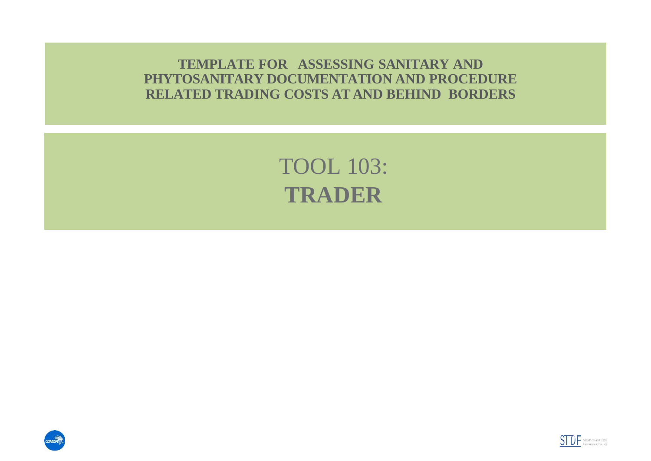**TEMPLATE FOR ASSESSING SANITARY AND PHYTOSANITARY DOCUMENTATION AND PROCEDURE RELATED TRADING COSTS AT AND BEHIND BORDERS**

> TOOL 103: **TRADER**



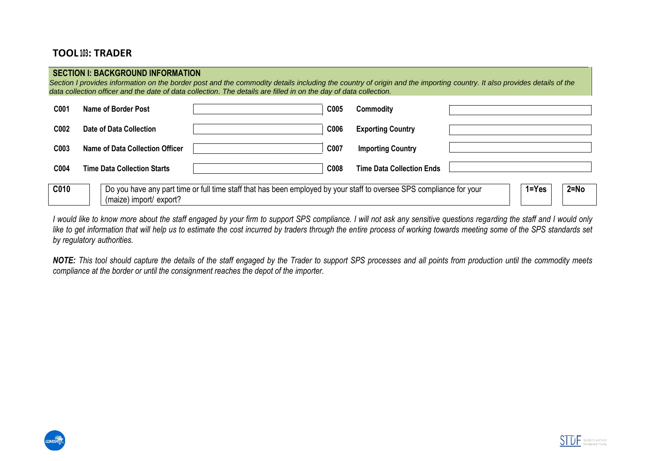# **TOOL 103: TRADER**

#### **SECTION I: BACKGROUND INFORMATION**

*Section I provides information on the border post and the commodity details including the country of origin and the importing country. It also provides details of the data collection officer and the date of data collection. The details are filled in on the day of data collection.*

| C001             | Name of Border Post                |                                                                                                                      | C005 | Commoditv                        |           |          |
|------------------|------------------------------------|----------------------------------------------------------------------------------------------------------------------|------|----------------------------------|-----------|----------|
| C <sub>002</sub> | Date of Data Collection            |                                                                                                                      | C006 | <b>Exporting Country</b>         |           |          |
| C <sub>003</sub> | Name of Data Collection Officer    |                                                                                                                      | C007 | <b>Importing Country</b>         |           |          |
| C004             | <b>Time Data Collection Starts</b> |                                                                                                                      | C008 | <b>Time Data Collection Ends</b> |           |          |
| C010             | (maize) import/ export?            | Do you have any part time or full time staff that has been employed by your staff to oversee SPS compliance for your |      |                                  | $1 = Yes$ | $2 = No$ |

*I would like to know more about the staff engaged by your firm to support SPS compliance. I will not ask any sensitive questions regarding the staff and I would only*  like to get information that will help us to estimate the cost incurred by traders through the entire process of working towards meeting some of the SPS standards set *by regulatory authorities.*

*NOTE: This tool should capture the details of the staff engaged by the Trader to support SPS processes and all points from production until the commodity meets compliance at the border or until the consignment reaches the depot of the importer.*



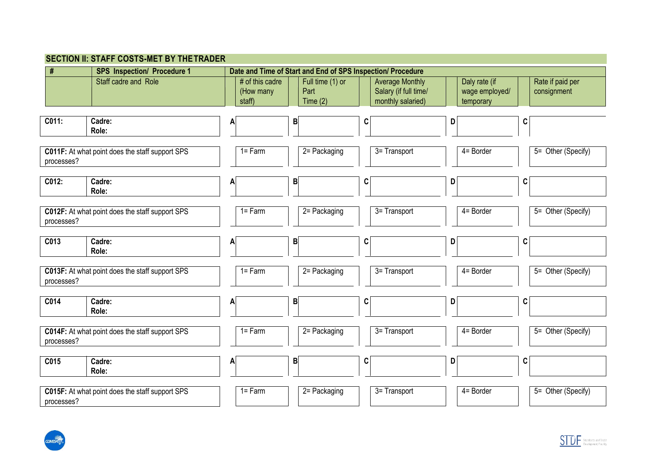| #          | <b>SPS Inspection/ Procedure 1</b>              |                                        |                                        | Date and Time of Start and End of SPS Inspection/ Procedure          |                                              |                                 |
|------------|-------------------------------------------------|----------------------------------------|----------------------------------------|----------------------------------------------------------------------|----------------------------------------------|---------------------------------|
|            | Staff cadre and Role                            | # of this cadre<br>(How many<br>staff) | Full time (1) or<br>Part<br>Time $(2)$ | <b>Average Monthly</b><br>Salary (if full time/<br>monthly salaried) | Daly rate (if<br>wage employed/<br>temporary | Rate if paid per<br>consignment |
| C011:      | Cadre:<br>Role:                                 |                                        | $\mathsf B$                            | C                                                                    | D                                            | C                               |
| processes? | C011F: At what point does the staff support SPS | $1 = Farm$                             | $\overline{2}$ Packaging               | 3= Transport                                                         | 4= Border                                    | 5= Other (Specify)              |
| C012:      | Cadre:<br>Role:                                 |                                        | B                                      | C                                                                    | D                                            | C                               |
| processes? | C012F: At what point does the staff support SPS | $1 = Farm$                             | 2= Packaging                           | 3= Transport                                                         | 4= Border                                    | 5= Other (Specify)              |
| C013       | Cadre:<br>Role:                                 |                                        | B                                      | C                                                                    | D                                            | C                               |
| processes? | C013F: At what point does the staff support SPS | $1 = Farm$                             | $\overline{2}$ Packaging               | 3= Transport                                                         | 4= Border                                    | 5= Other (Specify)              |
| C014       | Cadre:<br>Role:                                 |                                        | B                                      | C                                                                    | D                                            | C                               |
| processes? | C014F: At what point does the staff support SPS | $1 = Farm$                             | 2= Packaging                           | 3= Transport                                                         | $\overline{4}$ = Border                      | 5= Other (Specify)              |
| C015       | Cadre:<br>Role:                                 | A                                      | B                                      | C                                                                    | D                                            | C                               |
| processes? | C015F: At what point does the staff support SPS | $1 = Farm$                             | 2= Packaging                           | $\overline{3}$ = Transport                                           | 4= Border                                    | 5= Other (Specify)              |



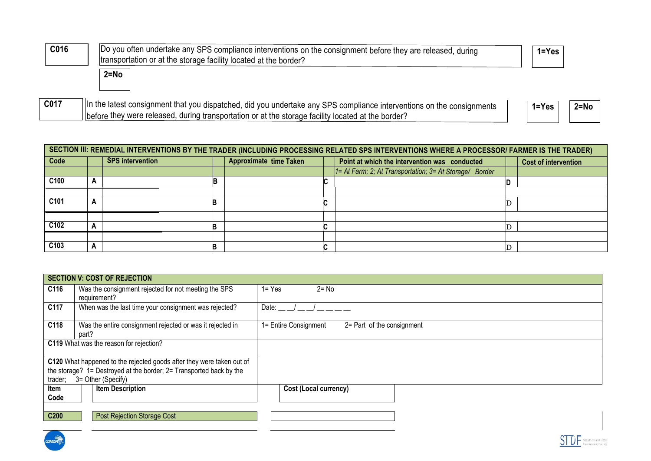| C016 | Do you often undertake any SPS compliance interventions on the consignment before they are released, during<br>transportation or at the storage facility located at the border? | $1 = Yes$             |
|------|---------------------------------------------------------------------------------------------------------------------------------------------------------------------------------|-----------------------|
|      | $2 = No$                                                                                                                                                                        |                       |
| C017 | In the latest consignment that you dispatched, did you undertake any SPS compliance interventions on the consignments                                                           | $1 = Yes$<br>$2 = No$ |

before they were released, during transportation or at the storage facility located at the border?

|      |   |                         |                               | SECTION III: REMEDIAL INTERVENTIONS BY THE TRADER (INCLUDING PROCESSING RELATED SPS INTERVENTIONS WHERE A PROCESSOR/ FARMER IS THE TRADER) |                             |
|------|---|-------------------------|-------------------------------|--------------------------------------------------------------------------------------------------------------------------------------------|-----------------------------|
| Code |   | <b>SPS</b> intervention | <b>Approximate time Taken</b> | Point at which the intervention was conducted                                                                                              | <b>Cost of intervention</b> |
|      |   |                         |                               | 1= At Farm; 2; At Transportation; 3= At Storage/ Border                                                                                    |                             |
| C100 |   |                         |                               |                                                                                                                                            |                             |
|      |   |                         |                               |                                                                                                                                            |                             |
| C101 | − |                         |                               |                                                                                                                                            |                             |
|      |   |                         |                               |                                                                                                                                            |                             |
| C102 |   |                         |                               |                                                                                                                                            |                             |
|      |   |                         |                               |                                                                                                                                            |                             |
| C103 |   |                         |                               |                                                                                                                                            |                             |

|         |       | <b>SECTION V: COST OF REJECTION</b>                                   |              |                                                     |
|---------|-------|-----------------------------------------------------------------------|--------------|-----------------------------------------------------|
| C116    |       | Was the consignment rejected for not meeting the SPS<br>requirement?  | $1 = Yes$    | $2 = No$                                            |
| C117    |       | When was the last time your consignment was rejected?                 | Date: $\_\_$ |                                                     |
| C118    | part? | Was the entire consignment rejected or was it rejected in             |              | 1= Entire Consignment<br>2= Part of the consignment |
|         |       | C119 What was the reason for rejection?                               |              |                                                     |
|         |       | C120 What happened to the rejected goods after they were taken out of |              |                                                     |
|         |       | the storage? 1= Destroyed at the border; 2= Transported back by the   |              |                                                     |
| trader; |       | 3= Other (Specify)                                                    |              |                                                     |
| ltem    |       | <b>Item Description</b>                                               |              | Cost (Local currency)                               |
| Code    |       |                                                                       |              |                                                     |
|         |       |                                                                       |              |                                                     |
| C200    |       | <b>Post Rejection Storage Cost</b>                                    |              |                                                     |
|         |       |                                                                       |              |                                                     |

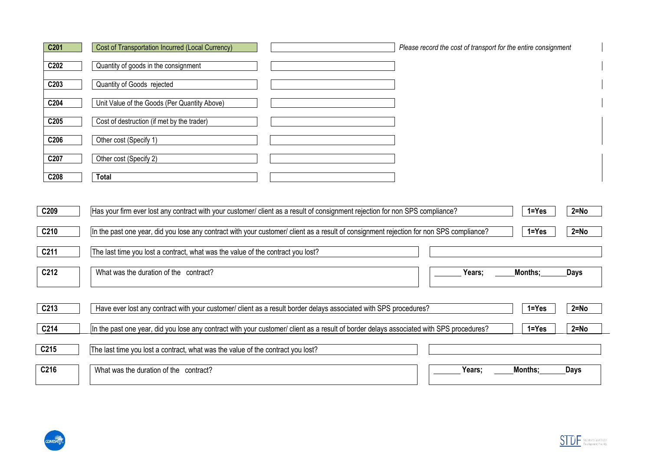| C201 | Cost of Transportation Incurred (Local Currency) | Please record the cost of transport for the entire consignment |
|------|--------------------------------------------------|----------------------------------------------------------------|
| C202 | Quantity of goods in the consignment             |                                                                |
| C203 | Quantity of Goods rejected                       |                                                                |
| C204 | Unit Value of the Goods (Per Quantity Above)     |                                                                |
| C205 | Cost of destruction (if met by the trader)       |                                                                |
| C206 | Other cost (Specify 1)                           |                                                                |
| C207 | Other cost (Specify 2)                           |                                                                |
| C208 | Total                                            |                                                                |

| C209 | Has your firm ever lost any contract with your customer/ client as a result of consignment rejection for non SPS compliance?            | $1 = Yes$ | $2 = No$ |
|------|-----------------------------------------------------------------------------------------------------------------------------------------|-----------|----------|
| C210 | In the past one year, did you lose any contract with your customer/ client as a result of consignment rejection for non SPS compliance? | $1 = Yes$ | $2 = No$ |
| C211 | The last time you lost a contract, what was the value of the contract you lost?                                                         |           |          |
| C212 | What was the duration of the contract?<br>Years;                                                                                        | Months:   | Days     |
|      |                                                                                                                                         |           |          |
| C213 | Have ever lost any contract with your customer/ client as a result border delays associated with SPS procedures?                        | $1 = Yes$ | $2 = No$ |
| C214 | In the past one year, did you lose any contract with your customer/ client as a result of border delays associated with SPS procedures? | $1 = Yes$ | $2 = No$ |
| C215 | The last time you lost a contract, what was the value of the contract you lost?                                                         |           |          |
| C216 | What was the duration of the contract?<br>Years;                                                                                        | Months:   | Days     |



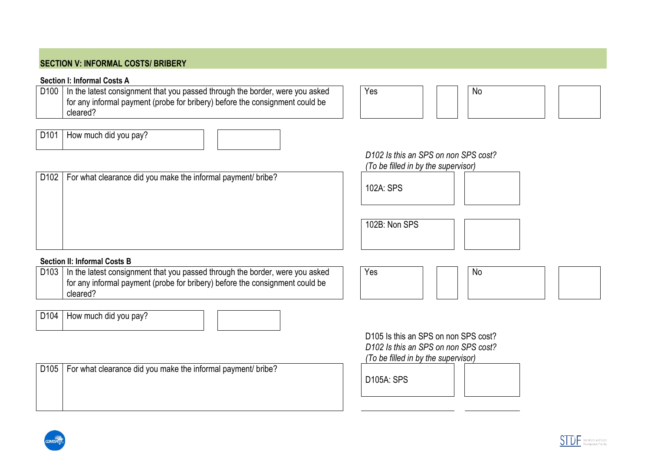# **SECTION V: INFORMAL COSTS/ BRIBERY**

#### **Section I: Informal Costs A**

D100 In the latest consignment that you passed through the border, were you asked for any informal payment (probe for bribery) before the consignment could be cleared?

Yes | | | | | No

*D102 Is this an SPS on non SPS cost?*

# D101 | How much did you pay?

*(To be filled in by the supervisor)* D102 | For what clearance did you make the informal payment/ bribe?  $102A \cdot$  SPS 102B: Non SPS

## **Section II: Informal Costs B**

D103 | In the latest consignment that you passed through the border, were you asked for any informal payment (probe for bribery) before the consignment could be cleared?

D104 | How much did you pay?

D<sub>105</sub> Is this an SPS on non SPS cost? *D102 Is this an SPS on non SPS cost? (To be filled in by the supervisor)*

Yes No

D105 | For what clearance did you make the informal payment/ bribe?







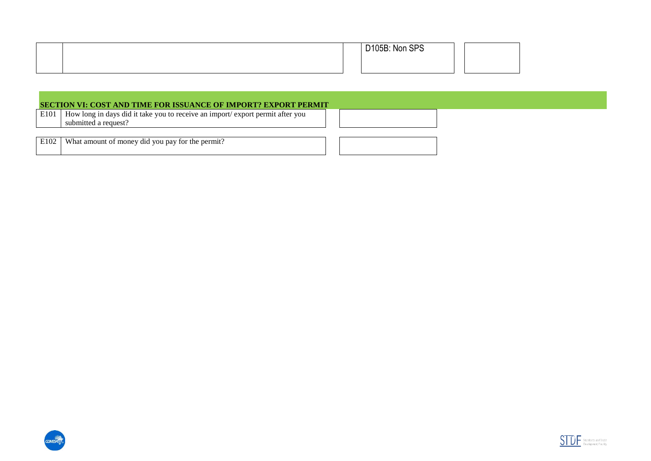|  | $R = 10F$<br>Non SPS<br>D105B: |  |
|--|--------------------------------|--|
|  |                                |  |

#### **SECTION VI: COST AND TIME FOR ISSUANCE OF IMPORT? EXPORT PERMIT**

E101 | How long in days did it take you to receive an import/ export permit after you submitted a request?

E102 What amount of money did you pay for the permit?





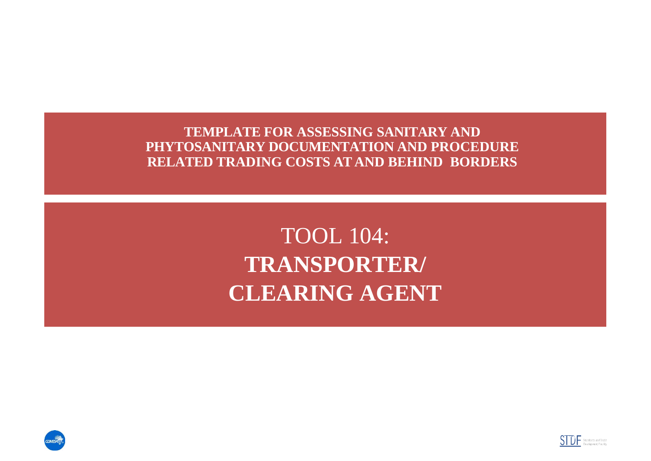**TEMPLATE FOR ASSESSING SANITARY AND PHYTOSANITARY DOCUMENTATION AND PROCEDURE RELATED TRADING COSTS AT AND BEHIND BORDERS**

> TOOL 104: **TRANSPORTER/ CLEARING AGENT**



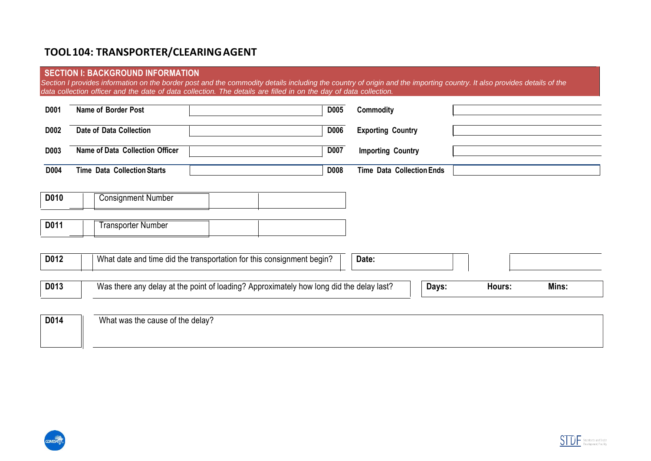# **TOOL104: TRANSPORTER/CLEARINGAGENT**

#### **SECTION I: BACKGROUND INFORMATION**

*Section I provides information on the border post and the commodity details including the country of origin and the importing country. It also provides details of the*  data collection officer and the date of data collection. The details are filled in on the day of data collection.

| D001 | Name of Border Post                                                                     | D005        | <b>Commodity</b>                 |
|------|-----------------------------------------------------------------------------------------|-------------|----------------------------------|
| D002 | Date of Data Collection                                                                 | <b>D006</b> | <b>Exporting Country</b>         |
| D003 | Name of Data Collection Officer                                                         | <b>D007</b> | <b>Importing Country</b>         |
| D004 | <b>Time Data Collection Starts</b>                                                      | <b>D008</b> | <b>Time Data Collection Ends</b> |
| D010 | <b>Consignment Number</b>                                                               |             |                                  |
|      |                                                                                         |             |                                  |
| D011 | <b>Transporter Number</b>                                                               |             |                                  |
|      |                                                                                         |             |                                  |
| D012 | What date and time did the transportation for this consignment begin?                   |             | Date:                            |
| D013 | Was there any delay at the point of loading? Approximately how long did the delay last? |             | Days:<br>Mins:<br>Hours:         |
| D014 | What was the cause of the delay?                                                        |             |                                  |



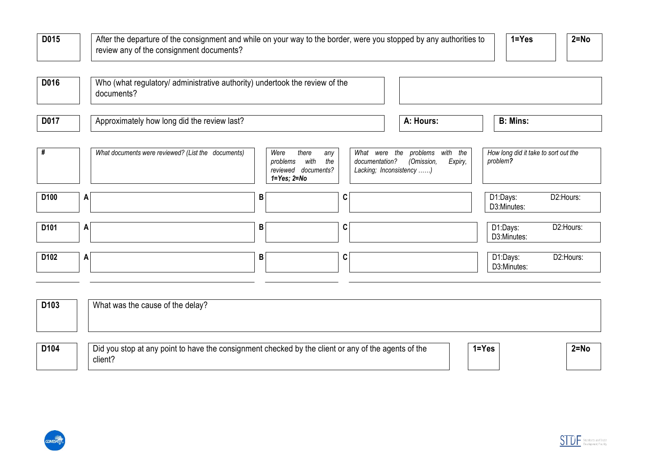| D015             | After the departure of the consignment and while on your way to the border, were you stopped by any authorities to<br>review any of the consignment documents? |   |                                                                                             |                                                             |                                               | $2 = No$<br>$1 = Yes$                            |
|------------------|----------------------------------------------------------------------------------------------------------------------------------------------------------------|---|---------------------------------------------------------------------------------------------|-------------------------------------------------------------|-----------------------------------------------|--------------------------------------------------|
| D016             | Who (what regulatory/ administrative authority) undertook the review of the<br>documents?                                                                      |   |                                                                                             |                                                             |                                               |                                                  |
| D017             | Approximately how long did the review last?                                                                                                                    |   |                                                                                             |                                                             | A: Hours:                                     | <b>B: Mins:</b>                                  |
| #                | What documents were reviewed? (List the documents)                                                                                                             |   | Were<br>there<br>any<br>the<br>with<br>problems<br>reviewed documents?<br>$1 = Yes; 2 = No$ | What were the<br>documentation?<br>Lacking; Inconsistency ) | with the<br>problems<br>(Omission,<br>Expiry, | How long did it take to sort out the<br>problem? |
| D <sub>100</sub> | A                                                                                                                                                              | В | C                                                                                           |                                                             |                                               | D2:Hours:<br>D1:Days:<br>D3:Minutes:             |
| D <sub>101</sub> | A                                                                                                                                                              | В | C                                                                                           |                                                             |                                               | D1:Days:<br>D2:Hours:<br>D3:Minutes:             |
| D <sub>102</sub> | A                                                                                                                                                              | B | C                                                                                           |                                                             |                                               | D2:Hours:<br>D1:Days:<br>D3:Minutes:             |

| D <sub>103</sub> | What was the cause of the delay?                                                                               |           |          |
|------------------|----------------------------------------------------------------------------------------------------------------|-----------|----------|
| D104             | Did you stop at any point to have the consignment checked by the client or any of the agents of the<br>client? | $1 = Yes$ | $2 = No$ |



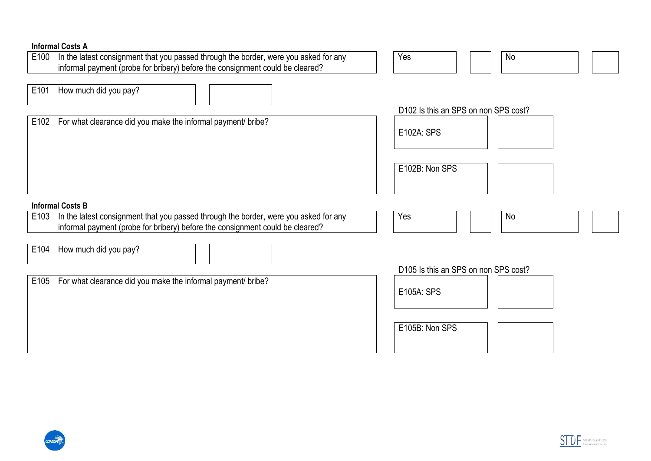|      | <b>Informal Costs A</b>                                                              |                                      |
|------|--------------------------------------------------------------------------------------|--------------------------------------|
| E100 | In the latest consignment that you passed through the border, were you asked for any | Yes<br>No                            |
|      | informal payment (probe for bribery) before the consignment could be cleared?        |                                      |
|      |                                                                                      |                                      |
| E101 | How much did you pay?                                                                |                                      |
|      |                                                                                      |                                      |
|      |                                                                                      | D102 Is this an SPS on non SPS cost? |
|      |                                                                                      |                                      |
| E102 | For what clearance did you make the informal payment/ bribe?                         |                                      |
|      |                                                                                      | E102A: SPS                           |
|      |                                                                                      |                                      |
|      |                                                                                      |                                      |
|      |                                                                                      | E102B: Non SPS                       |
|      |                                                                                      |                                      |
|      |                                                                                      |                                      |
|      |                                                                                      |                                      |
|      |                                                                                      |                                      |
|      | <b>Informal Costs B</b>                                                              |                                      |
|      |                                                                                      | Yes<br>No                            |
| E103 | In the latest consignment that you passed through the border, were you asked for any |                                      |
|      | informal payment (probe for bribery) before the consignment could be cleared?        |                                      |
|      |                                                                                      |                                      |
| E104 | How much did you pay?                                                                |                                      |
|      |                                                                                      |                                      |
|      |                                                                                      | D105 Is this an SPS on non SPS cost? |
| E105 | For what clearance did you make the informal payment/ bribe?                         |                                      |
|      |                                                                                      | E105A: SPS                           |
|      |                                                                                      |                                      |
|      |                                                                                      |                                      |
|      |                                                                                      |                                      |
|      |                                                                                      | E105B: Non SPS                       |